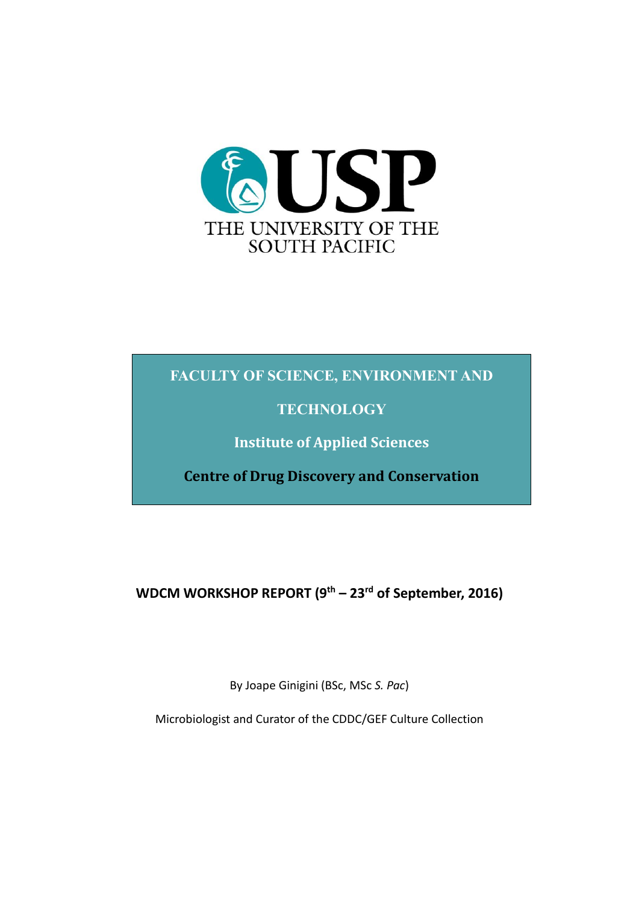

## **FACULTY OF SCIENCE, ENVIRONMENT AND**

## **TECHNOLOGY**

**Institute of Applied Sciences**

**Centre of Drug Discovery and Conservation**

**WDCM WORKSHOP REPORT (9th – 23rd of September, 2016)**

By Joape Ginigini (BSc, MSc *S. Pac*)

Microbiologist and Curator of the CDDC/GEF Culture Collection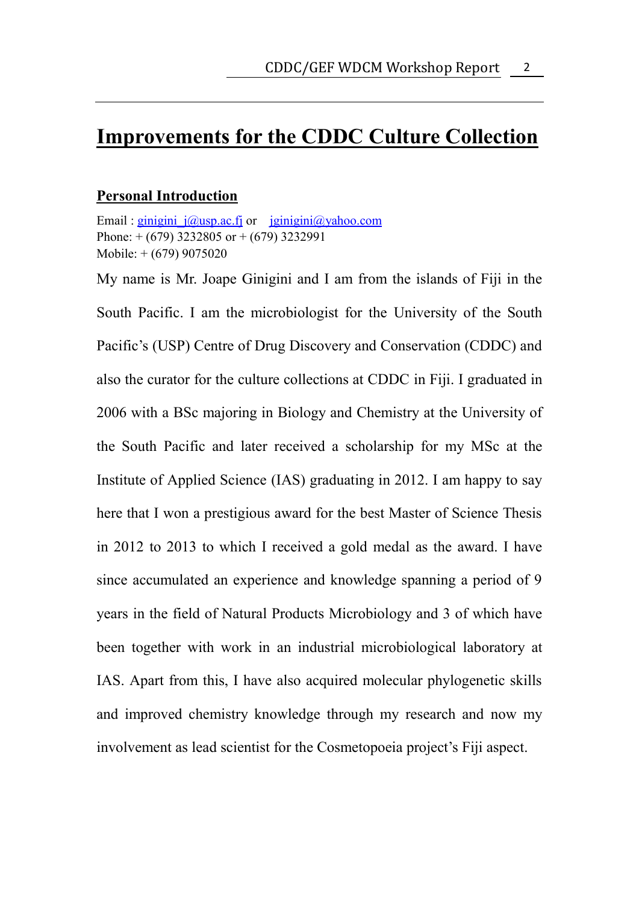# <span id="page-1-0"></span>**Improvements for the CDDC Culture Collection**

#### **Personal Introduction**

Email : ginigini  $j(\partial y)$ usp.ac.fj or  $j\partial y$ ginigini $\partial y$ ahoo.com Phone:  $+(679)$  3232805 or  $+(679)$  3232991 Mobile: + (679) 9075020

My name is Mr. Joape Ginigini and I am from the islands of Fiji in the South Pacific. I am the microbiologist for the University of the South Pacific's (USP) Centre of Drug Discovery and Conservation (CDDC) and also the curator for the culture collections at CDDC in Fiji. I graduated in 2006 with a BSc majoring in Biology and Chemistry at the University of the South Pacific and later received a scholarship for my MSc at the Institute of Applied Science (IAS) graduating in 2012. I am happy to say here that I won a prestigious award for the best Master of Science Thesis in 2012 to 2013 to which I received a gold medal as the award. I have since accumulated an experience and knowledge spanning a period of 9 years in the field of Natural Products Microbiology and 3 of which have been together with work in an industrial microbiological laboratory at IAS. Apart from this, I have also acquired molecular phylogenetic skills and improved chemistry knowledge through my research and now my involvement as lead scientist for the Cosmetopoeia project's Fiji aspect.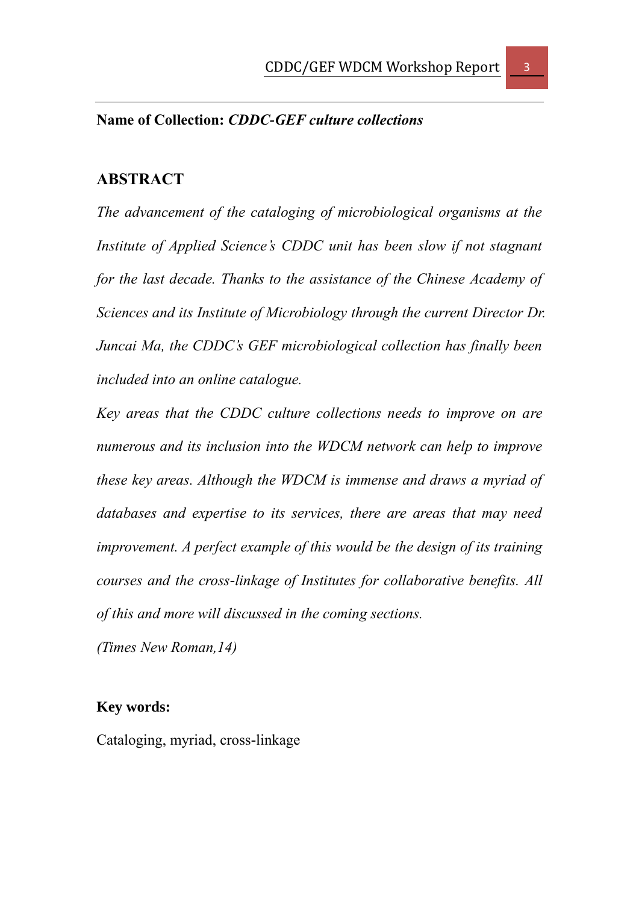## <span id="page-2-1"></span><span id="page-2-0"></span>**Name of Collection:** *CDDC-GEF culture collections*

#### **ABSTRACT**

*The advancement of the cataloging of microbiological organisms at the Institute of Applied Science's CDDC unit has been slow if not stagnant for the last decade. Thanks to the assistance of the Chinese Academy of Sciences and its Institute of Microbiology through the current Director Dr. Juncai Ma, the CDDC's GEF microbiological collection has finally been included into an online catalogue.*

*Key areas that the CDDC culture collections needs to improve on are numerous and its inclusion into the WDCM network can help to improve these key areas. Although the WDCM is immense and draws a myriad of databases and expertise to its services, there are areas that may need improvement. A perfect example of this would be the design of its training courses and the cross-linkage of Institutes for collaborative benefits. All of this and more will discussed in the coming sections.* 

<span id="page-2-2"></span>*(Times New Roman,14)*

### **Key words:**

Cataloging, myriad, cross-linkage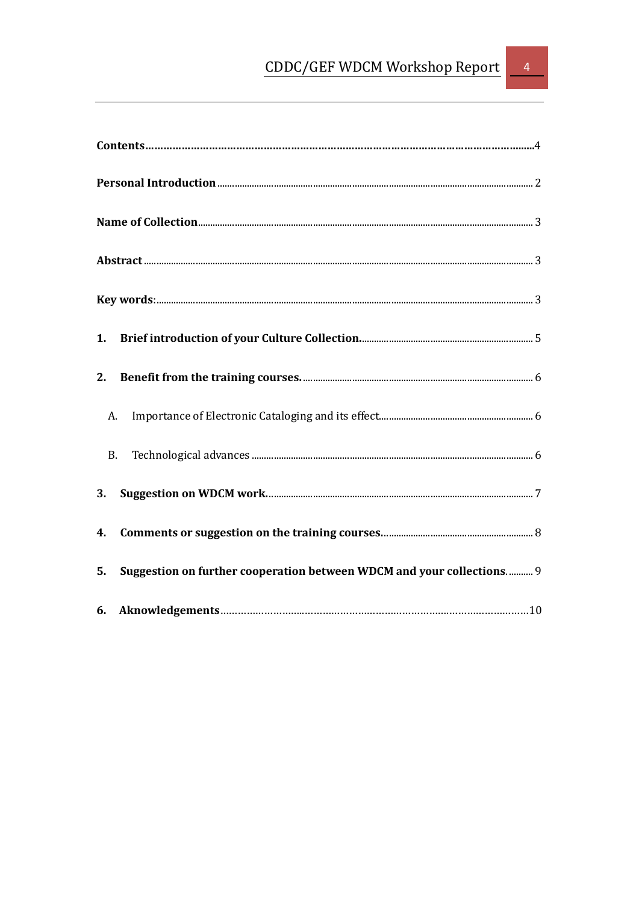|           | A.                                                                    |  |
|-----------|-----------------------------------------------------------------------|--|
| <b>B.</b> |                                                                       |  |
|           |                                                                       |  |
|           |                                                                       |  |
| 5.        | Suggestion on further cooperation between WDCM and your collections 9 |  |
|           |                                                                       |  |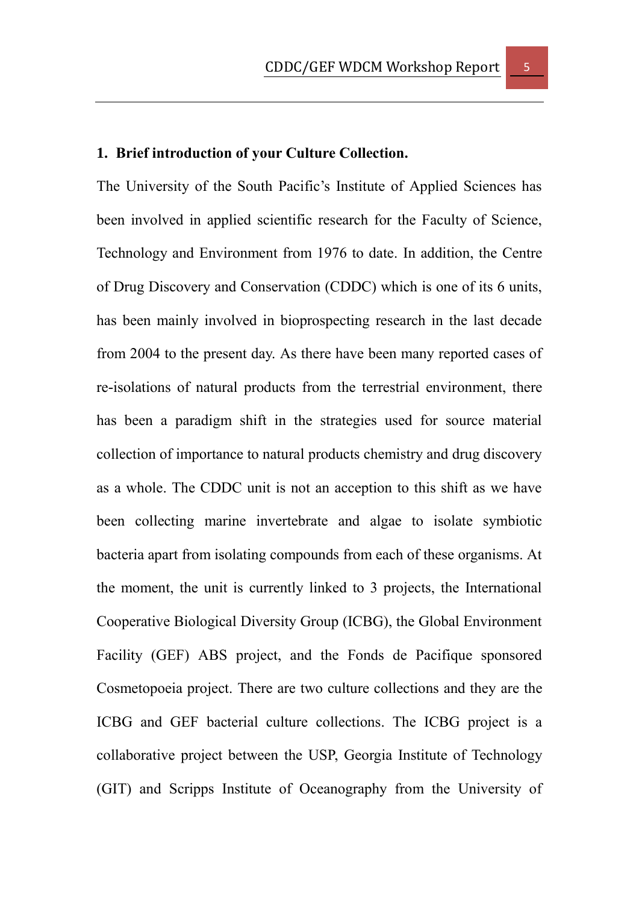## <span id="page-4-0"></span>**1. Brief introduction of your Culture Collection.**

The University of the South Pacific's Institute of Applied Sciences has been involved in applied scientific research for the Faculty of Science, Technology and Environment from 1976 to date. In addition, the Centre of Drug Discovery and Conservation (CDDC) which is one of its 6 units, has been mainly involved in bioprospecting research in the last decade from 2004 to the present day. As there have been many reported cases of re-isolations of natural products from the terrestrial environment, there has been a paradigm shift in the strategies used for source material collection of importance to natural products chemistry and drug discovery as a whole. The CDDC unit is not an acception to this shift as we have been collecting marine invertebrate and algae to isolate symbiotic bacteria apart from isolating compounds from each of these organisms. At the moment, the unit is currently linked to 3 projects, the International Cooperative Biological Diversity Group (ICBG), the Global Environment Facility (GEF) ABS project, and the Fonds de Pacifique sponsored Cosmetopoeia project. There are two culture collections and they are the ICBG and GEF bacterial culture collections. The ICBG project is a collaborative project between the USP, Georgia Institute of Technology (GIT) and Scripps Institute of Oceanography from the University of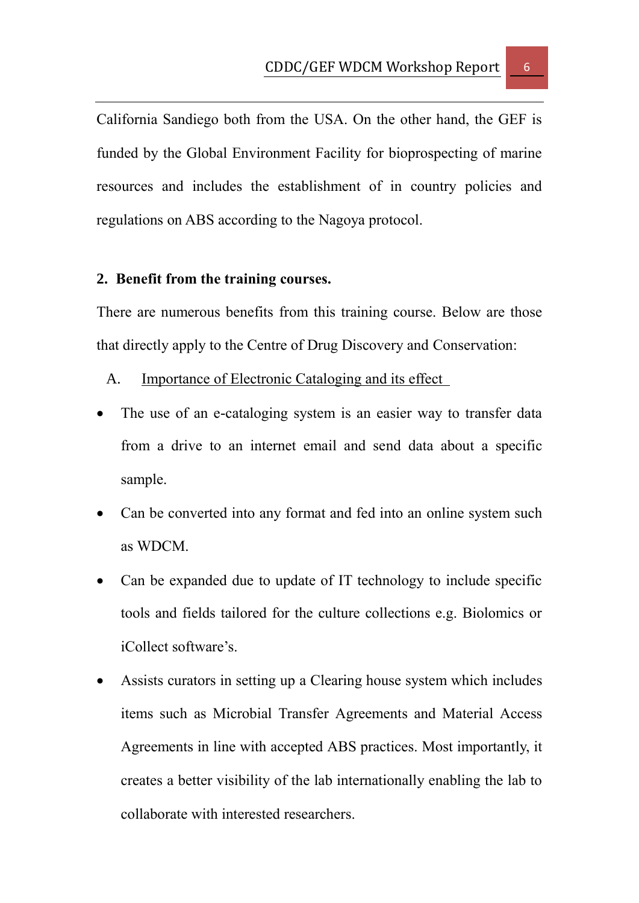California Sandiego both from the USA. On the other hand, the GEF is funded by the Global Environment Facility for bioprospecting of marine resources and includes the establishment of in country policies and regulations on ABS according to the Nagoya protocol.

#### <span id="page-5-0"></span>**2. Benefit from the training courses.**

There are numerous benefits from this training course. Below are those that directly apply to the Centre of Drug Discovery and Conservation:

#### <span id="page-5-1"></span>A. Importance of Electronic Cataloging and its effect

- The use of an e-cataloging system is an easier way to transfer data from a drive to an internet email and send data about a specific sample.
- Can be converted into any format and fed into an online system such as WDCM.
- Can be expanded due to update of IT technology to include specific tools and fields tailored for the culture collections e.g. Biolomics or iCollect software's.
- Assists curators in setting up a Clearing house system which includes items such as Microbial Transfer Agreements and Material Access Agreements in line with accepted ABS practices. Most importantly, it creates a better visibility of the lab internationally enabling the lab to collaborate with interested researchers.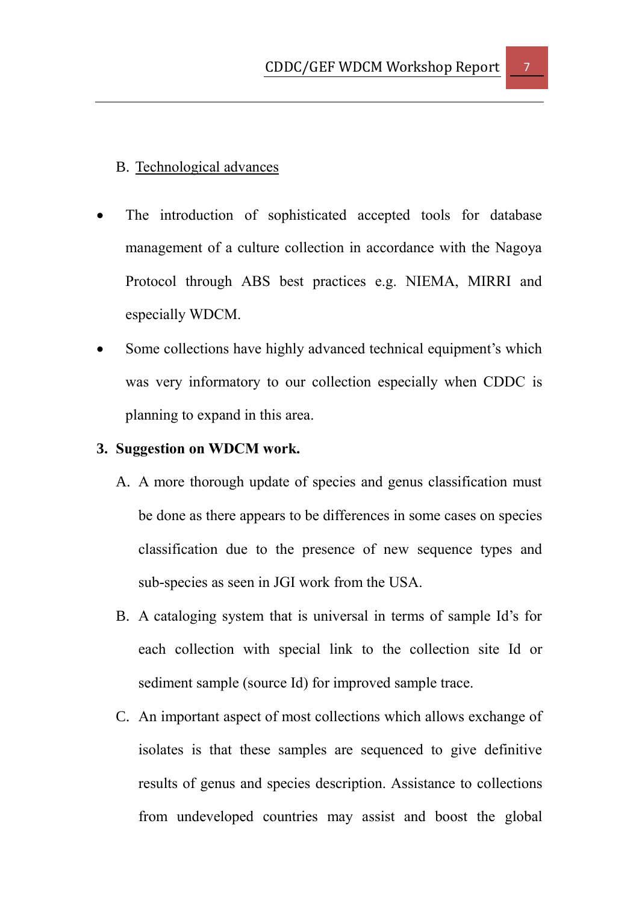### <span id="page-6-0"></span>B. Technological advances

- The introduction of sophisticated accepted tools for database management of a culture collection in accordance with the Nagoya Protocol through ABS best practices e.g. NIEMA, MIRRI and especially WDCM.
- Some collections have highly advanced technical equipment's which was very informatory to our collection especially when CDDC is planning to expand in this area.

#### <span id="page-6-1"></span>**3. Suggestion on WDCM work.**

- A. A more thorough update of species and genus classification must be done as there appears to be differences in some cases on species classification due to the presence of new sequence types and sub-species as seen in JGI work from the USA.
- B. A cataloging system that is universal in terms of sample Id's for each collection with special link to the collection site Id or sediment sample (source Id) for improved sample trace.
- C. An important aspect of most collections which allows exchange of isolates is that these samples are sequenced to give definitive results of genus and species description. Assistance to collections from undeveloped countries may assist and boost the global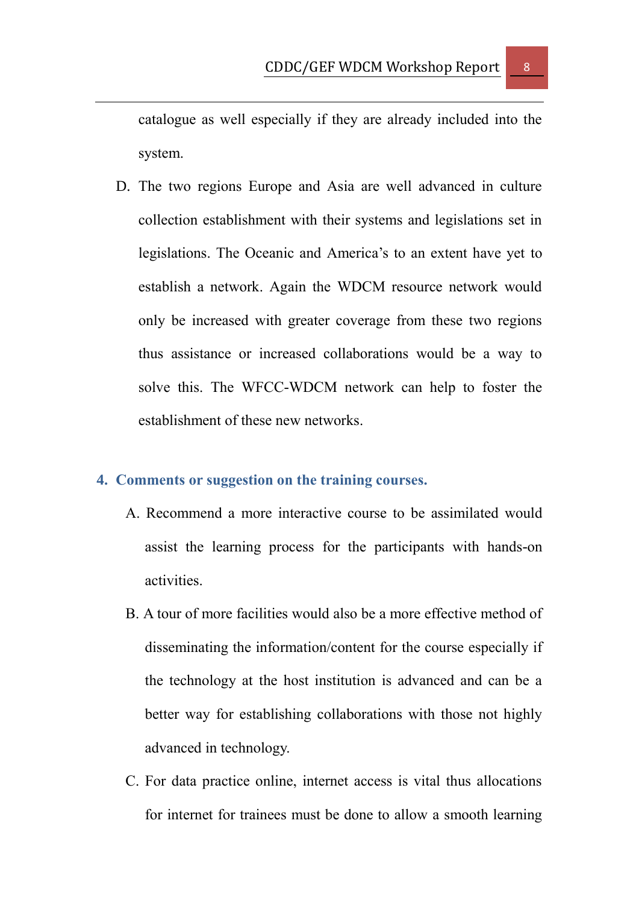catalogue as well especially if they are already included into the system.

D. The two regions Europe and Asia are well advanced in culture collection establishment with their systems and legislations set in legislations. The Oceanic and America's to an extent have yet to establish a network. Again the WDCM resource network would only be increased with greater coverage from these two regions thus assistance or increased collaborations would be a way to solve this. The WFCC-WDCM network can help to foster the establishment of these new networks.

#### <span id="page-7-0"></span>**4. Comments or suggestion on the training courses.**

- A. Recommend a more interactive course to be assimilated would assist the learning process for the participants with hands-on activities.
- B. A tour of more facilities would also be a more effective method of disseminating the information/content for the course especially if the technology at the host institution is advanced and can be a better way for establishing collaborations with those not highly advanced in technology.
- C. For data practice online, internet access is vital thus allocations for internet for trainees must be done to allow a smooth learning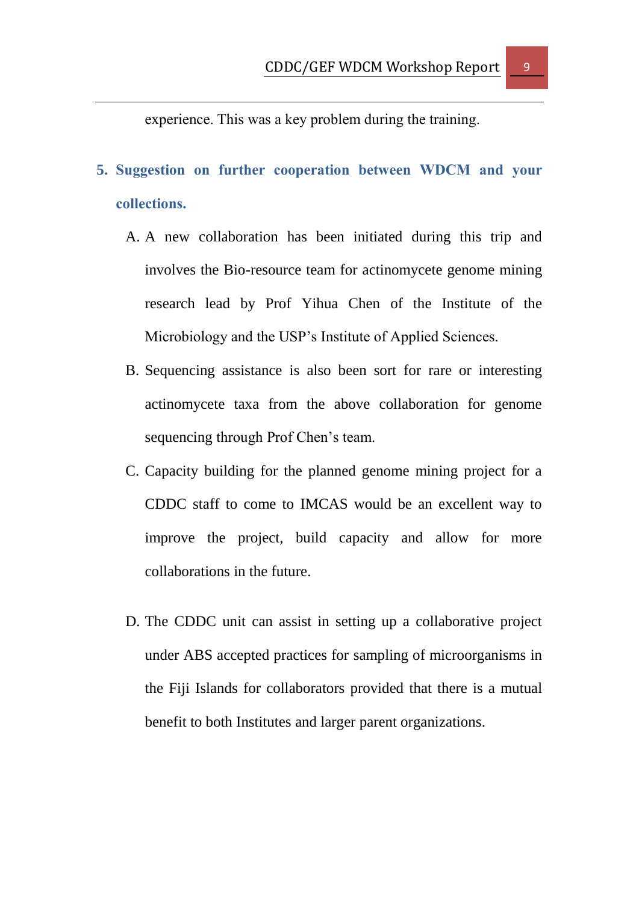experience. This was a key problem during the training.

- <span id="page-8-0"></span>**5. Suggestion on further cooperation between WDCM and your collections.**
	- A. A new collaboration has been initiated during this trip and involves the Bio-resource team for actinomycete genome mining research lead by Prof Yihua Chen of the Institute of the Microbiology and the USP's Institute of Applied Sciences.
	- B. Sequencing assistance is also been sort for rare or interesting actinomycete taxa from the above collaboration for genome sequencing through Prof Chen's team.
	- C. Capacity building for the planned genome mining project for a CDDC staff to come to IMCAS would be an excellent way to improve the project, build capacity and allow for more collaborations in the future.
	- D. The CDDC unit can assist in setting up a collaborative project under ABS accepted practices for sampling of microorganisms in the Fiji Islands for collaborators provided that there is a mutual benefit to both Institutes and larger parent organizations.